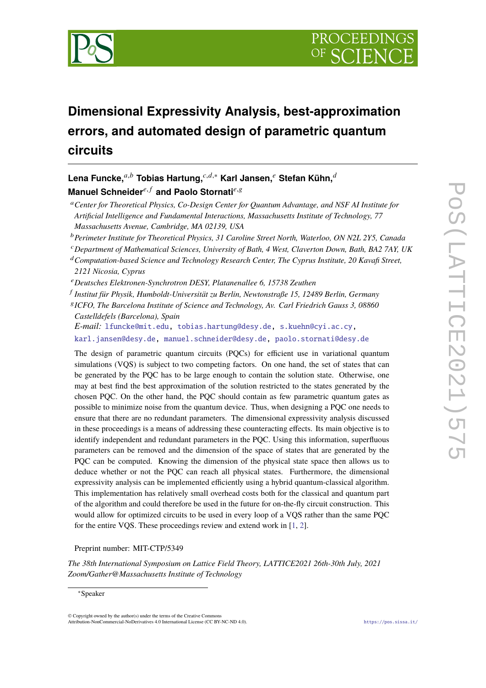

# **Dimensional Expressivity Analysis, best-approximation errors, and automated design of parametric quantum circuits**

Lena Funcke,<sup>*a,b*</sup> Tobias Hartung,<sup>*c,d,*∗</sup> Karl Jansen,<sup>*e*</sup> Stefan Kühn,<sup>*d*</sup> **Manuel Schneider**<sup>e, f</sup> and Paolo Stornati<sup>e, g</sup>

- <sup>b</sup> Perimeter Institute for Theoretical Physics, 31 Caroline Street North, Waterloo, ON N2L 2Y5, Canada
- <sup>𝑐</sup>*Department of Mathematical Sciences, University of Bath, 4 West, Claverton Down, Bath, BA2 7AY, UK*
- <sup>𝑑</sup>*Computation-based Science and Technology Research Center, The Cyprus Institute, 20 Kavafi Street, 2121 Nicosia, Cyprus*

<sup>𝑒</sup>*Deutsches Elektronen-Synchrotron DESY, Platanenallee 6, 15738 Zeuthen*

𝑓 *Institut für Physik, Humboldt-Universität zu Berlin, Newtonstraße 15, 12489 Berlin, Germany*

<sup>8</sup> ICFO, The Barcelona Institute of Science and Technology, Av. Carl Friedrich Gauss 3, 08860 *Castelldefels (Barcelona), Spain E-mail:* [lfuncke@mit.edu,](mailto:lfuncke@mit.edu) [tobias.hartung@desy.de,](mailto:tobias.hartung@desy.de) [s.kuehn@cyi.ac.cy,](mailto:s.kuehn@cyi.ac.cy) [karl.jansen@desy.de,](mailto:karl.jansen@desy.de) [manuel.schneider@desy.de,](mailto:manuel.schneider@desy.de) [paolo.stornati@desy.de](mailto:paolo.stornati@desy.de)

The design of parametric quantum circuits (PQCs) for efficient use in variational quantum simulations (VQS) is subject to two competing factors. On one hand, the set of states that can be generated by the PQC has to be large enough to contain the solution state. Otherwise, one may at best find the best approximation of the solution restricted to the states generated by the chosen PQC. On the other hand, the PQC should contain as few parametric quantum gates as possible to minimize noise from the quantum device. Thus, when designing a PQC one needs to ensure that there are no redundant parameters. The dimensional expressivity analysis discussed in these proceedings is a means of addressing these counteracting effects. Its main objective is to identify independent and redundant parameters in the PQC. Using this information, superfluous parameters can be removed and the dimension of the space of states that are generated by the PQC can be computed. Knowing the dimension of the physical state space then allows us to deduce whether or not the PQC can reach all physical states. Furthermore, the dimensional expressivity analysis can be implemented efficiently using a hybrid quantum-classical algorithm. This implementation has relatively small overhead costs both for the classical and quantum part of the algorithm and could therefore be used in the future for on-the-fly circuit construction. This would allow for optimized circuits to be used in every loop of a VQS rather than the same PQC for the entire VQS. These proceedings review and extend work in [\[1,](#page-10-0) [2\]](#page-10-1).

Preprint number: MIT-CTP/5349

*The 38th International Symposium on Lattice Field Theory, LATTICE2021 26th-30th July, 2021 Zoom/Gather@Massachusetts Institute of Technology*

<sup>∗</sup>Speaker

<sup>&</sup>lt;sup>*a*</sup> Center for Theoretical Physics, Co-Design Center for Quantum Advantage, and NSF AI Institute for *Artificial Intelligence and Fundamental Interactions, Massachusetts Institute of Technology, 77 Massachusetts Avenue, Cambridge, MA 02139, USA*

<sup>©</sup> Copyright owned by the author(s) under the terms of the Creative Commons Attribution-NonCommercial-NoDerivatives 4.0 International License (CC BY-NC-ND 4.0). <https://pos.sissa.it/>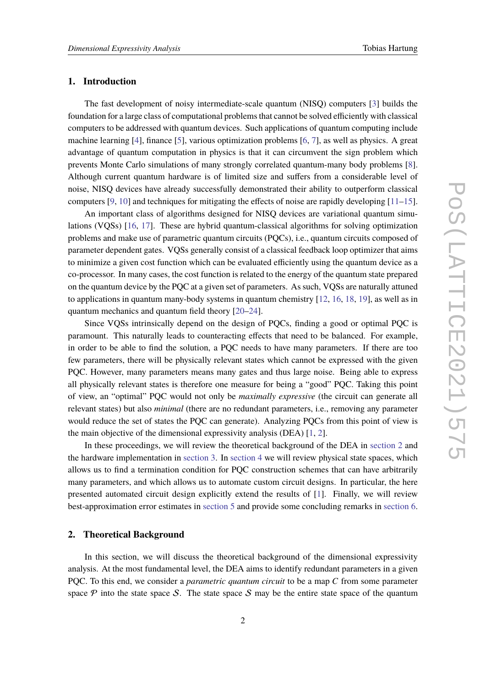# **1. Introduction**

The fast development of noisy intermediate-scale quantum (NISQ) computers [\[3\]](#page-10-2) builds the foundation for a large class of computational problems that cannot be solved efficiently with classical computers to be addressed with quantum devices. Such applications of quantum computing include machine learning [\[4\]](#page-10-3), finance [\[5\]](#page-10-4), various optimization problems [\[6,](#page-10-5) [7\]](#page-10-6), as well as physics. A great advantage of quantum computation in physics is that it can circumvent the sign problem which prevents Monte Carlo simulations of many strongly correlated quantum-many body problems [\[8\]](#page-10-7). Although current quantum hardware is of limited size and suffers from a considerable level of noise, NISQ devices have already successfully demonstrated their ability to outperform classical computers [\[9,](#page-10-8) [10\]](#page-10-9) and techniques for mitigating the effects of noise are rapidly developing [\[11–](#page-10-10)[15\]](#page-10-11).

An important class of algorithms designed for NISQ devices are variational quantum simulations (VQSs) [\[16,](#page-11-0) [17\]](#page-11-1). These are hybrid quantum-classical algorithms for solving optimization problems and make use of parametric quantum circuits (PQCs), i.e., quantum circuits composed of parameter dependent gates. VQSs generally consist of a classical feedback loop optimizer that aims to minimize a given cost function which can be evaluated efficiently using the quantum device as a co-processor. In many cases, the cost function is related to the energy of the quantum state prepared on the quantum device by the PQC at a given set of parameters. As such, VQSs are naturally attuned to applications in quantum many-body systems in quantum chemistry [\[12,](#page-10-12) [16,](#page-11-0) [18,](#page-11-2) [19\]](#page-11-3), as well as in quantum mechanics and quantum field theory [\[20–](#page-11-4)[24\]](#page-11-5).

Since VQSs intrinsically depend on the design of PQCs, finding a good or optimal PQC is paramount. This naturally leads to counteracting effects that need to be balanced. For example, in order to be able to find the solution, a PQC needs to have many parameters. If there are too few parameters, there will be physically relevant states which cannot be expressed with the given PQC. However, many parameters means many gates and thus large noise. Being able to express all physically relevant states is therefore one measure for being a "good" PQC. Taking this point of view, an "optimal" PQC would not only be *maximally expressive* (the circuit can generate all relevant states) but also *minimal* (there are no redundant parameters, i.e., removing any parameter would reduce the set of states the PQC can generate). Analyzing PQCs from this point of view is the main objective of the dimensional expressivity analysis (DEA) [\[1,](#page-10-0) [2\]](#page-10-1).

In these proceedings, we will review the theoretical background of the DEA in [section 2](#page-1-0) and the hardware implementation in [section 3.](#page-4-0) In [section 4](#page-6-0) we will review physical state spaces, which allows us to find a termination condition for PQC construction schemes that can have arbitrarily many parameters, and which allows us to automate custom circuit designs. In particular, the here presented automated circuit design explicitly extend the results of [\[1\]](#page-10-0). Finally, we will review best-approximation error estimates in [section 5](#page-8-0) and provide some concluding remarks in [section 6.](#page-8-1)

# <span id="page-1-0"></span>**2. Theoretical Background**

In this section, we will discuss the theoretical background of the dimensional expressivity analysis. At the most fundamental level, the DEA aims to identify redundant parameters in a given PQC. To this end, we consider a *parametric quantum circuit* to be a map C from some parameter space  $P$  into the state space S. The state space S may be the entire state space of the quantum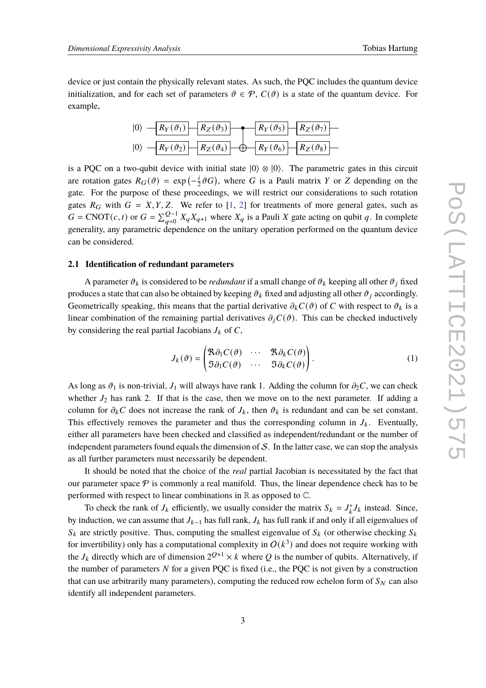device or just contain the physically relevant states. As such, the PQC includes the quantum device initialization, and for each set of parameters  $\vartheta \in \mathcal{P}$ ,  $C(\vartheta)$  is a state of the quantum device. For example,

| $ 0\rangle$ $\left \left  \overrightarrow{R_Y(\vartheta_1)} \right \right  \left \left  \overrightarrow{R_Z(\vartheta_3)} \right \right  \left \left  \overrightarrow{R_Y(\vartheta_5)} \right \right  \left \left  \overrightarrow{R_Z(\vartheta_7)} \right \right $ |  |  |
|-----------------------------------------------------------------------------------------------------------------------------------------------------------------------------------------------------------------------------------------------------------------------|--|--|
| $ 0\rangle$ $\left \left  \overrightarrow{R_Y(\vartheta_2)} \right \right \left \overrightarrow{R_Z(\vartheta_4)} \right  \right  \left \left  \overrightarrow{R_Y(\vartheta_6)} \right \right \left \overrightarrow{R_Z(\vartheta_8)} \right $                       |  |  |

is a PQC on a two-qubit device with initial state  $|0\rangle \otimes |0\rangle$ . The parametric gates in this circuit are rotation gates  $R_G(\vartheta) = \exp(-\frac{i}{2})$  $\frac{i}{2}\vartheta G$ , where G is a Pauli matrix Y or Z depending on the gate. For the purpose of these proceedings, we will restrict our considerations to such rotation gates  $R_G$  with  $G = X, Y, Z$ . We refer to [\[1,](#page-10-0) [2\]](#page-10-1) for treatments of more general gates, such as  $G = \text{CNOT}(c, t)$  or  $G = \sum_{q=0}^{Q-1} X_q X_{q+1}$  where  $X_q$  is a Pauli X gate acting on qubit q. In complete generality, any parametric dependence on the unitary operation performed on the quantum device can be considered.

## <span id="page-2-0"></span>**2.1 Identification of redundant parameters**

A parameter  $\vartheta_k$  is considered to be *redundant* if a small change of  $\vartheta_k$  keeping all other  $\vartheta_j$  fixed produces a state that can also be obtained by keeping  $\vartheta_k$  fixed and adjusting all other  $\vartheta_i$  accordingly. Geometrically speaking, this means that the partial derivative  $\partial_k C(\theta)$  of C with respect to  $\partial_k$  is a linear combination of the remaining partial derivatives  $\partial_i C(\theta)$ . This can be checked inductively by considering the real partial Jacobians  $J_k$  of  $C$ ,

$$
J_k(\vartheta) = \begin{pmatrix} \Re \partial_1 C(\vartheta) & \cdots & \Re \partial_k C(\vartheta) \\ \Im \partial_1 C(\vartheta) & \cdots & \Im \partial_k C(\vartheta) \end{pmatrix}.
$$
 (1)

As long as  $\vartheta_1$  is non-trivial,  $J_1$  will always have rank 1. Adding the column for  $\partial_2 C$ , we can check whether  $J_2$  has rank 2. If that is the case, then we move on to the next parameter. If adding a column for  $\partial_k C$  does not increase the rank of  $J_k$ , then  $\partial_k$  is redundant and can be set constant. This effectively removes the parameter and thus the corresponding column in  $J_k$ . Eventually, either all parameters have been checked and classified as independent/redundant or the number of independent parameters found equals the dimension of  $S$ . In the latter case, we can stop the analysis as all further parameters must necessarily be dependent.

It should be noted that the choice of the *real* partial Jacobian is necessitated by the fact that our parameter space  $P$  is commonly a real manifold. Thus, the linear dependence check has to be performed with respect to linear combinations in  $\mathbb R$  as opposed to  $\mathbb C$ .

To check the rank of  $J_k$  efficiently, we usually consider the matrix  $S_k = J_k^* J_k$  instead. Since, by induction, we can assume that  $J_{k-1}$  has full rank,  $J_k$  has full rank if and only if all eigenvalues of  $S_k$  are strictly positive. Thus, computing the smallest eigenvalue of  $S_k$  (or otherwise checking  $S_k$ for invertibility) only has a computational complexity in  $O(k^3)$  and does not require working with the  $J_k$  directly which are of dimension  $2^{Q+1} \times k$  where Q is the number of qubits. Alternatively, if the number of parameters  $N$  for a given PQC is fixed (i.e., the PQC is not given by a construction that can use arbitrarily many parameters), computing the reduced row echelon form of  $S_N$  can also identify all independent parameters.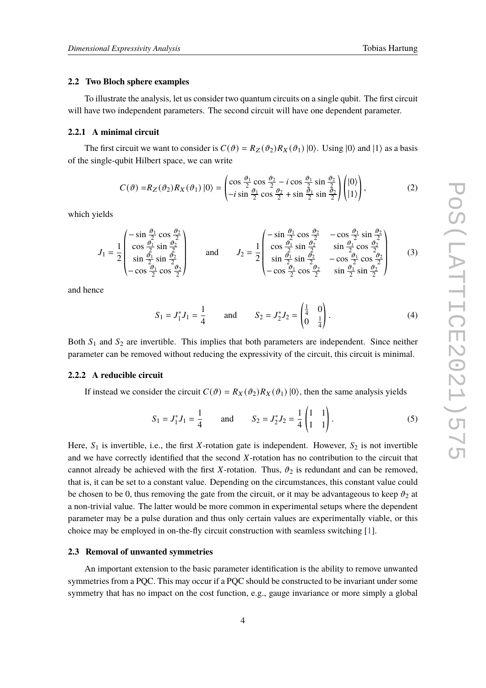# **2.2 Two Bloch sphere examples**

To illustrate the analysis, let us consider two quantum circuits on a single qubit. The first circuit will have two independent parameters. The second circuit will have one dependent parameter.

#### **2.2.1 A minimal circuit**

The first circuit we want to consider is  $C(\vartheta) = R_Z(\vartheta_2) R_X(\vartheta_1) |0\rangle$ . Using  $|0\rangle$  and  $|1\rangle$  as a basis of the single-qubit Hilbert space, we can write

$$
C(\vartheta) = R_Z(\vartheta_2) R_X(\vartheta_1) |0\rangle = \begin{pmatrix} \cos\frac{\vartheta_1}{2}\cos\frac{\vartheta_2}{2} - i\cos\frac{\vartheta_1}{2}\sin\frac{\vartheta_2}{2} \\ -i\sin\frac{\vartheta_1}{2}\cos\frac{\vartheta_2}{2} + \sin\frac{\vartheta_1}{2}\sin\frac{\vartheta_2}{2} \end{pmatrix} \begin{pmatrix} |0\rangle \\ |1\rangle \end{pmatrix},
$$
(2)

which yields

$$
J_1 = \frac{1}{2} \begin{pmatrix} -\sin\frac{\vartheta_1}{2}\cos\frac{\vartheta_2}{2} \\ \cos\frac{\vartheta_1}{2}\sin\frac{\vartheta_2}{2} \\ \sin\frac{\vartheta_1}{2}\sin\frac{\vartheta_2}{2} \\ -\cos\frac{\vartheta_1}{2}\cos\frac{\vartheta_2}{2} \end{pmatrix} \quad \text{and} \quad J_2 = \frac{1}{2} \begin{pmatrix} -\sin\frac{\vartheta_1}{2}\cos\frac{\vartheta_2}{2} & -\cos\frac{\vartheta_1}{2}\sin\frac{\vartheta_2}{2} \\ \cos\frac{\vartheta_1}{2}\sin\frac{\vartheta_2}{2} & \sin\frac{\vartheta_1}{2}\cos\frac{\vartheta_2}{2} \\ \sin\frac{\vartheta_1}{2}\sin\frac{\vartheta_2}{2} & -\cos\frac{\vartheta_1}{2}\cos\frac{\vartheta_2}{2} \\ -\cos\frac{\vartheta_1}{2}\cos\frac{\vartheta_2}{2} & \sin\frac{\vartheta_1}{2}\sin\frac{\vartheta_2}{2} \end{pmatrix} \quad (3)
$$

and hence

$$
S_1 = J_1^* J_1 = \frac{1}{4}
$$
 and  $S_2 = J_2^* J_2 = \begin{pmatrix} \frac{1}{4} & 0\\ 0 & \frac{1}{4} \end{pmatrix}$ . (4)

Both  $S_1$  and  $S_2$  are invertible. This implies that both parameters are independent. Since neither parameter can be removed without reducing the expressivity of the circuit, this circuit is minimal.

#### **2.2.2 A reducible circuit**

If instead we consider the circuit  $C(\vartheta) = R_X(\vartheta_2) R_X(\vartheta_1) |0\rangle$ , then the same analysis yields

$$
S_1 = J_1^* J_1 = \frac{1}{4}
$$
 and  $S_2 = J_2^* J_2 = \frac{1}{4} \begin{pmatrix} 1 & 1 \\ 1 & 1 \end{pmatrix}$ . (5)

Here,  $S_1$  is invertible, i.e., the first X-rotation gate is independent. However,  $S_2$  is not invertible and we have correctly identified that the second X-rotation has no contribution to the circuit that cannot already be achieved with the first X-rotation. Thus,  $\vartheta_2$  is redundant and can be removed, that is, it can be set to a constant value. Depending on the circumstances, this constant value could be chosen to be 0, thus removing the gate from the circuit, or it may be advantageous to keep  $\vartheta_2$  at a non-trivial value. The latter would be more common in experimental setups where the dependent parameter may be a pulse duration and thus only certain values are experimentally viable, or this choice may be employed in on-the-fly circuit construction with seamless switching [\[1\]](#page-10-0).

#### <span id="page-3-0"></span>**2.3 Removal of unwanted symmetries**

An important extension to the basic parameter identification is the ability to remove unwanted symmetries from a PQC. This may occur if a PQC should be constructed to be invariant under some symmetry that has no impact on the cost function, e.g., gauge invariance or more simply a global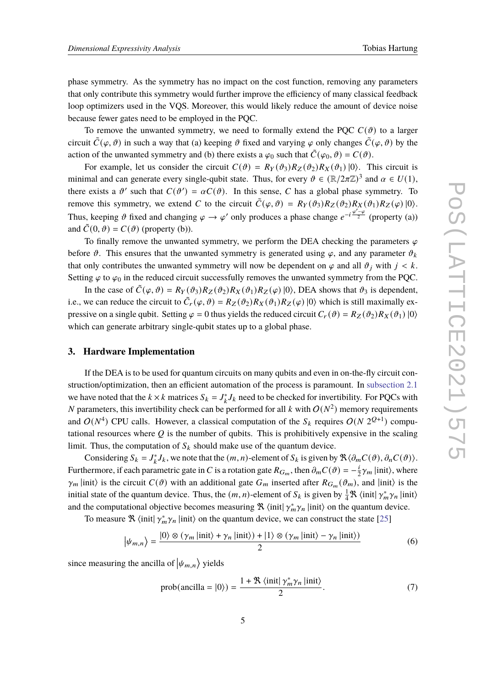phase symmetry. As the symmetry has no impact on the cost function, removing any parameters that only contribute this symmetry would further improve the efficiency of many classical feedback loop optimizers used in the VQS. Moreover, this would likely reduce the amount of device noise because fewer gates need to be employed in the PQC.

To remove the unwanted symmetry, we need to formally extend the PQC  $C(\vartheta)$  to a larger circuit  $\tilde{C}(\varphi, \vartheta)$  in such a way that (a) keeping  $\vartheta$  fixed and varying  $\varphi$  only changes  $\tilde{C}(\varphi, \vartheta)$  by the action of the unwanted symmetry and (b) there exists a  $\varphi_0$  such that  $\tilde{C}(\varphi_0, \vartheta) = C(\vartheta)$ .

For example, let us consider the circuit  $C(\vartheta) = R_Y(\vartheta_3)R_Z(\vartheta_2)R_X(\vartheta_1)$  (0). This circuit is minimal and can generate every single-qubit state. Thus, for every  $\vartheta \in (\mathbb{R}/2\pi\mathbb{Z})^3$  and  $\alpha \in U(1)$ , there exists a  $\vartheta'$  such that  $C(\vartheta') = \alpha C(\vartheta)$ . In this sense, C has a global phase symmetry. To remove this symmetry, we extend C to the circuit  $\tilde{C}(\varphi, \vartheta) = R_Y(\vartheta_3) R_Z(\vartheta_2) R_X(\vartheta_1) R_Z(\varphi) |0\rangle$ . Thus, keeping  $\vartheta$  fixed and changing  $\varphi \to \varphi'$  only produces a phase change  $e^{-i\frac{\varphi' - \varphi}{2}}$  (property (a)) and  $\tilde{C}(0, \vartheta) = C(\vartheta)$  (property (b)).

To finally remove the unwanted symmetry, we perform the DEA checking the parameters  $\varphi$ before  $\vartheta$ . This ensures that the unwanted symmetry is generated using  $\varphi$ , and any parameter  $\vartheta_k$ that only contributes the unwanted symmetry will now be dependent on  $\varphi$  and all  $\vartheta_i$  with  $j < k$ . Setting  $\varphi$  to  $\varphi_0$  in the reduced circuit successfully removes the unwanted symmetry from the PQC.

In the case of  $\tilde{C}(\varphi, \vartheta) = R_Y(\vartheta_3) R_Z(\vartheta_2) R_X(\vartheta_1) R_Z(\varphi) |0\rangle$ , DEA shows that  $\vartheta_3$  is dependent, i.e., we can reduce the circuit to  $\tilde{C}_r(\varphi, \vartheta) = R_Z(\vartheta_2) R_X(\vartheta_1) R_Z(\varphi) |0\rangle$  which is still maximally expressive on a single qubit. Setting  $\varphi = 0$  thus yields the reduced circuit  $C_r(\vartheta) = R_Z(\vartheta_2) R_X(\vartheta_1) |0\rangle$ which can generate arbitrary single-qubit states up to a global phase.

#### <span id="page-4-0"></span>**3. Hardware Implementation**

If the DEA is to be used for quantum circuits on many qubits and even in on-the-fly circuit construction/optimization, then an efficient automation of the process is paramount. In [subsection 2.1](#page-2-0) we have noted that the  $k \times k$  matrices  $S_k = J_k^* J_k$  need to be checked for invertibility. For PQCs with N parameters, this invertibility check can be performed for all k with  $O(N^2)$  memory requirements and  $O(N^4)$  CPU calls. However, a classical computation of the  $S_k$  requires  $O(N 2^{Q+1})$  computational resources where  $Q$  is the number of qubits. This is prohibitively expensive in the scaling limit. Thus, the computation of  $S_k$  should make use of the quantum device.

Considering  $S_k = J_k^* J_k$ , we note that the  $(m, n)$ -element of  $S_k$  is given by  $\mathcal{R} \langle \partial_m C(\vartheta), \partial_n C(\vartheta) \rangle$ . Furthermore, if each parametric gate in C is a rotation gate  $R_{G_m}$ , then  $\partial_m C(\vartheta) = -\frac{i}{2}$  $\frac{i}{2}\gamma_m$  |init}, where  $\gamma_m$  |init) is the circuit  $C(\vartheta)$  with an additional gate  $G_m$  inserted after  $R_{G_m}(\vartheta_m)$ , and |init) is the initial state of the quantum device. Thus, the  $(m, n)$ -element of  $S_k$  is given by  $\frac{1}{4}R \langle \text{init} | \gamma_m^* \gamma_n | \text{init} \rangle$ and the computational objective becomes measuring  $\Re \langle \text{init} | \gamma_m^* \gamma_n | \text{init} \rangle$  on the quantum device.

To measure  $\Re$   $\langle$  inititivity<sub>m</sub> $\gamma_n$  linit) on the quantum device, we can construct the state [\[25\]](#page-11-6)

$$
|\psi_{m,n}\rangle = \frac{|0\rangle \otimes (\gamma_m|\text{init}\rangle + \gamma_n|\text{init}\rangle) + |1\rangle \otimes (\gamma_m|\text{init}\rangle - \gamma_n|\text{init}\rangle)}{2}
$$
(6)

since measuring the ancilla of  $|\psi_{m,n}\rangle$  yields

$$
prob(\text{ancilla} = |0\rangle) = \frac{1 + \Re\left\langle \text{init} \right| \gamma_m^* \gamma_n \left| \text{init} \right\rangle}{2}.
$$
 (7)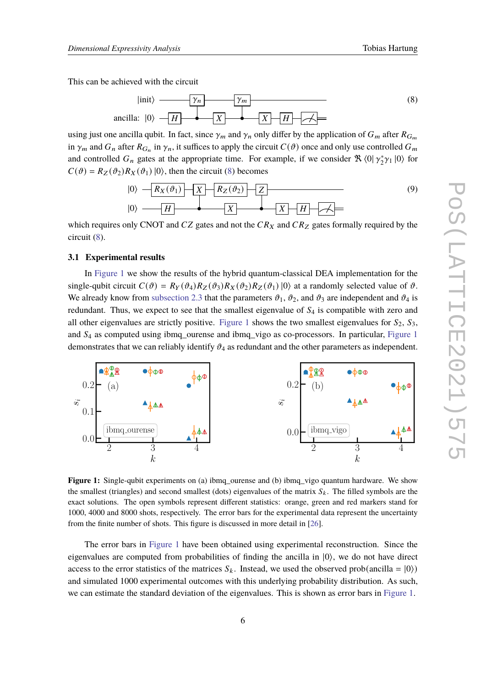This can be achieved with the circuit

<span id="page-5-0"></span>
$$
|\text{init}\rangle \longrightarrow \boxed{\gamma_n} \longrightarrow \boxed{\gamma_m}
$$
\n
$$
\text{ancilla: } |0\rangle \longrightarrow H \longrightarrow X \longrightarrow X \longrightarrow H \longrightarrow \boxed{\mathcal{A}} \longrightarrow \boxed{\mathcal{A}}
$$
\n
$$
(8)
$$

using just one ancilla qubit. In fact, since  $\gamma_m$  and  $\gamma_n$  only differ by the application of  $G_m$  after  $R_{G_m}$ in  $\gamma_m$  and  $G_n$  after  $R_{G_n}$  in  $\gamma_n$ , it suffices to apply the circuit  $C(\vartheta)$  once and only use controlled  $G_m$ and controlled  $G_n$  gates at the appropriate time. For example, if we consider  $\Re$   $\langle 0 | \gamma_2^* \rangle$  $x_2^*\gamma_1 |0\rangle$  for  $C(\vartheta) = R_Z(\vartheta_2) R_X(\vartheta_1) |0\rangle$ , then the circuit [\(8\)](#page-5-0) becomes



which requires only CNOT and  $CZ$  gates and not the  $CR_X$  and  $CR_Z$  gates formally required by the circuit [\(8\)](#page-5-0).

# <span id="page-5-2"></span>**3.1 Experimental results**

In [Figure 1](#page-5-1) we show the results of the hybrid quantum-classical DEA implementation for the single-qubit circuit  $C(\vartheta) = R_Y(\vartheta_A)R_Z(\vartheta_3)R_X(\vartheta_2)R_Z(\vartheta_1)$  |0) at a randomly selected value of  $\vartheta$ . We already know from [subsection 2.3](#page-3-0) that the parameters  $\vartheta_1$ ,  $\vartheta_2$ , and  $\vartheta_3$  are independent and  $\vartheta_4$  is redundant. Thus, we expect to see that the smallest eigenvalue of  $S<sub>4</sub>$  is compatible with zero and all other eigenvalues are strictly positive. [Figure 1](#page-5-1) shows the two smallest eigenvalues for  $S_2$ ,  $S_3$ , and  $S_4$  as computed using ibmq\_ourense and ibmq\_vigo as co-processors. In particular, [Figure 1](#page-5-1) demonstrates that we can reliably identify  $\vartheta_4$  as redundant and the other parameters as independent.

<span id="page-5-1"></span>

**Figure 1:** Single-qubit experiments on (a) ibmq\_ourense and (b) ibmq\_vigo quantum hardware. We show the smallest (triangles) and second smallest (dots) eigenvalues of the matrix  $S_k$ . The filled symbols are the exact solutions. The open symbols represent different statistics: orange, green and red markers stand for 1000, 4000 and 8000 shots, respectively. The error bars for the experimental data represent the uncertainty from the finite number of shots. This figure is discussed in more detail in [\[26\]](#page-11-7).

The error bars in [Figure 1](#page-5-1) have been obtained using experimental reconstruction. Since the eigenvalues are computed from probabilities of finding the ancilla in  $|0\rangle$ , we do not have direct access to the error statistics of the matrices  $S_k$ . Instead, we used the observed prob(ancilla =  $|0\rangle$ ) and simulated 1000 experimental outcomes with this underlying probability distribution. As such, we can estimate the standard deviation of the eigenvalues. This is shown as error bars in [Figure 1.](#page-5-1)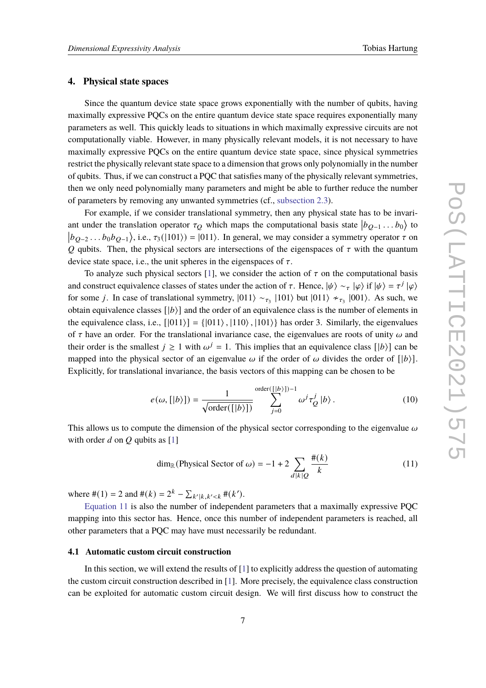### <span id="page-6-0"></span>**4. Physical state spaces**

Since the quantum device state space grows exponentially with the number of qubits, having maximally expressive PQCs on the entire quantum device state space requires exponentially many parameters as well. This quickly leads to situations in which maximally expressive circuits are not computationally viable. However, in many physically relevant models, it is not necessary to have maximally expressive PQCs on the entire quantum device state space, since physical symmetries restrict the physically relevant state space to a dimension that grows only polynomially in the number of qubits. Thus, if we can construct a PQC that satisfies many of the physically relevant symmetries, then we only need polynomially many parameters and might be able to further reduce the number of parameters by removing any unwanted symmetries (cf., [subsection 2.3\)](#page-3-0).

For example, if we consider translational symmetry, then any physical state has to be invariant under the translation operator  $\tau_Q$  which maps the computational basis state  $|b_{Q-1} \dots b_0\rangle$  to  $\left|b_{Q-2} \ldots b_0 b_{Q-1}\right\rangle$ , i.e.,  $\tau_3(\vert 101\rangle) = \vert 011\rangle$ . In general, we may consider a symmetry operator  $\tau$  on Q qubits. Then, the physical sectors are intersections of the eigenspaces of  $\tau$  with the quantum device state space, i.e., the unit spheres in the eigenspaces of  $\tau$ .

To analyze such physical sectors [\[1\]](#page-10-0), we consider the action of  $\tau$  on the computational basis and construct equivalence classes of states under the action of  $\tau$ . Hence,  $|\psi\rangle \sim_{\tau} |\varphi\rangle$  if  $|\psi\rangle = \tau^{j} |\varphi\rangle$ for some *j*. In case of translational symmetry,  $|011\rangle \sim_{\tau_3} |101\rangle$  but  $|011\rangle \nsim_{\tau_3} |001\rangle$ . As such, we obtain equivalence classes  $[|b\rangle]$  and the order of an equivalence class is the number of elements in the equivalence class, i.e.,  $[|011\rangle] = \{|011\rangle, |110\rangle, |101\rangle\}$  has order 3. Similarly, the eigenvalues of  $\tau$  have an order. For the translational invariance case, the eigenvalues are roots of unity  $\omega$  and their order is the smallest  $j \ge 1$  with  $\omega^{j} = 1$ . This implies that an equivalence class  $[|b\rangle]$  can be mapped into the physical sector of an eigenvalue  $\omega$  if the order of  $\omega$  divides the order of  $\vert \vert b \rangle$ ]. Explicitly, for translational invariance, the basis vectors of this mapping can be chosen to be

<span id="page-6-2"></span>
$$
e(\omega, [|b\rangle]) = \frac{1}{\sqrt{\text{order}([|b\rangle])}} \sum_{j=0}^{\text{order}([|b\rangle])-1} \omega^j \tau_Q^j |b\rangle.
$$
 (10)

This allows us to compute the dimension of the physical sector corresponding to the eigenvalue  $\omega$ with order  $d$  on  $Q$  qubits as [\[1\]](#page-10-0)

<span id="page-6-1"></span>
$$
\dim_{\mathbb{R}}(\text{Physical Sector of }\omega) = -1 + 2\sum_{d|k|Q} \frac{\#(k)}{k} \tag{11}
$$

where  $\#(1) = 2$  and  $\#(k) = 2^k - \sum_{k'|k,k' < k} \#(k')$ .

[Equation 11](#page-6-1) is also the number of independent parameters that a maximally expressive PQC mapping into this sector has. Hence, once this number of independent parameters is reached, all other parameters that a PQC may have must necessarily be redundant.

# **4.1 Automatic custom circuit construction**

In this section, we will extend the results of [\[1\]](#page-10-0) to explicitly address the question of automating the custom circuit construction described in [\[1\]](#page-10-0). More precisely, the equivalence class construction can be exploited for automatic custom circuit design. We will first discuss how to construct the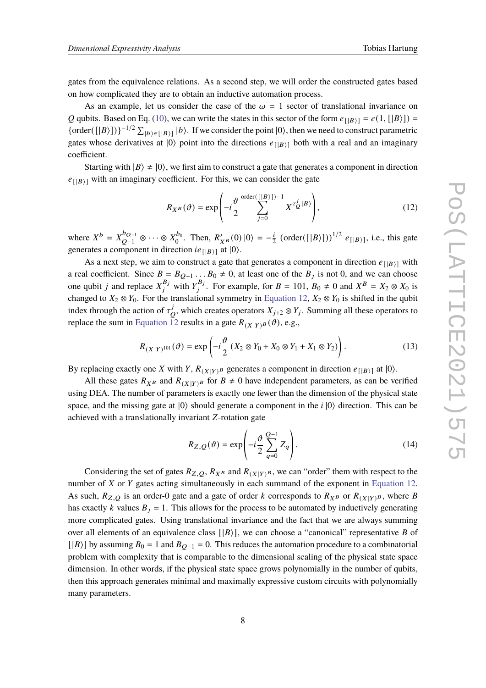gates from the equivalence relations. As a second step, we will order the constructed gates based on how complicated they are to obtain an inductive automation process.

As an example, let us consider the case of the  $\omega = 1$  sector of translational invariance on Q qubits. Based on Eq. [\(10\)](#page-6-2), we can write the states in this sector of the form  $e_{[|B\rangle]} = e(1, [|B\rangle]) =$ {order( $[|B\rangle]$ )}<sup>-1/2</sup>  $\sum_{|b\rangle\in|[B\rangle]}|b\rangle$ . If we consider the point  $|0\rangle$ , then we need to construct parametric gates whose derivatives at  $|0\rangle$  point into the directions  $e_{[|B\rangle]}$  both with a real and an imaginary coefficient.

Starting with  $|B\rangle \neq |0\rangle$ , we first aim to construct a gate that generates a component in direction  $e_{[|B\rangle]}$  with an imaginary coefficient. For this, we can consider the gate

<span id="page-7-0"></span>
$$
R_{X^B}(\vartheta) = \exp\left(-i\frac{\vartheta}{2} \sum_{j=0}^{\text{order}(\lfloor |B\rangle\rfloor)-1} X^{\tau_Q^j|B\rangle}\right),\tag{12}
$$

where  $X^b = X_{Q-1}^{b_{Q-1}}$  $\frac{b_{Q-1}}{Q-1}$  ⊗  $\cdots$  ⊗  $X_0^{b_0}$  $\frac{b_0}{0}$ . Then,  $R'_{X^B}(0)$   $|0\rangle = -\frac{i}{2}$  $\frac{i}{2}$  (order([|B)])<sup>1/2</sup>  $e_{[|B\rangle]}$ , i.e., this gate generates a component in direction  $ie_{[|B\rangle]}$  at  $|0\rangle$ .

As a next step, we aim to construct a gate that generates a component in direction  $e_{[|B\rangle]}$  with a real coefficient. Since  $B = B_{Q-1} \dots B_0 \neq 0$ , at least one of the  $B_j$  is not 0, and we can choose one qubit *j* and replace  $X_j^{B_j}$  with  $Y_j^{B_j}$  $_1^{B_j}$ . For example, for  $B = 101$ ,  $B_0 \neq 0$  and  $X^B = X_2 \otimes X_0$  is changed to  $X_2 \otimes Y_0$ . For the translational symmetry in [Equation 12,](#page-7-0)  $X_2 \otimes Y_0$  is shifted in the qubit index through the action of  $\tau_c^j$  $\overline{O}$ , which creates operators  $X_{j+2}$  ⊗  $Y_j$ . Summing all these operators to replace the sum in [Equation 12](#page-7-0) results in a gate  $R_{(X|Y)^B}(\vartheta)$ , e.g.,

$$
R_{(X|Y)^{101}}(\vartheta) = \exp\left(-i\frac{\vartheta}{2}\left(X_2 \otimes Y_0 + X_0 \otimes Y_1 + X_1 \otimes Y_2\right)\right). \tag{13}
$$

By replacing exactly one X with Y,  $R_{(X|Y)^B}$  generates a component in direction  $e_{[B]}$  at  $|0\rangle$ .

All these gates  $R_{\chi B}$  and  $R_{(\chi|Y)B}$  for  $B \neq 0$  have independent parameters, as can be verified using DEA. The number of parameters is exactly one fewer than the dimension of the physical state space, and the missing gate at  $|0\rangle$  should generate a component in the *i* $|0\rangle$  direction. This can be achieved with a translationally invariant  $Z$ -rotation gate

$$
R_{Z,Q}(\vartheta) = \exp\left(-i\frac{\vartheta}{2}\sum_{q=0}^{Q-1} Z_q\right).
$$
 (14)

Considering the set of gates  $R_{Z,Q}$ ,  $R_{X^B}$  and  $R_{(X|Y)^B}$ , we can "order" them with respect to the number of  $X$  or  $Y$  gates acting simultaneously in each summand of the exponent in [Equation 12.](#page-7-0) As such,  $R_{Z,O}$  is an order-0 gate and a gate of order k corresponds to  $R_{XB}$  or  $R_{(XY|Y)B}$ , where B has exactly k values  $B_i = 1$ . This allows for the process to be automated by inductively generating more complicated gates. Using translational invariance and the fact that we are always summing over all elements of an equivalence class  $[|B\rangle]$ , we can choose a "canonical" representative B of [ $|B\rangle$ ] by assuming  $B_0 = 1$  and  $B_{Q-1} = 0$ . This reduces the automation procedure to a combinatorial problem with complexity that is comparable to the dimensional scaling of the physical state space dimension. In other words, if the physical state space grows polynomially in the number of qubits, then this approach generates minimal and maximally expressive custom circuits with polynomially many parameters.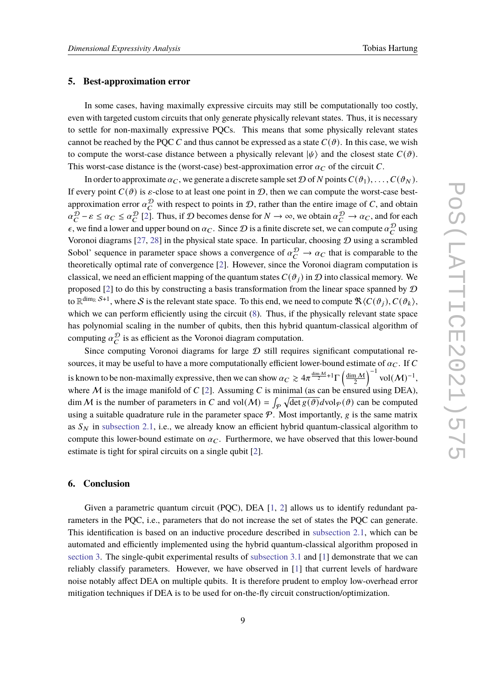#### <span id="page-8-0"></span>**5. Best-approximation error**

In some cases, having maximally expressive circuits may still be computationally too costly, even with targeted custom circuits that only generate physically relevant states. Thus, it is necessary to settle for non-maximally expressive PQCs. This means that some physically relevant states cannot be reached by the POC C and thus cannot be expressed as a state  $C(\vartheta)$ . In this case, we wish to compute the worst-case distance between a physically relevant  $|\psi\rangle$  and the closest state  $C(\vartheta)$ . This worst-case distance is the (worst-case) best-approximation error  $\alpha_C$  of the circuit C.

In order to approximate  $\alpha_C$ , we generate a discrete sample set  $\mathcal D$  of N points  $C(\vartheta_1), \ldots, C(\vartheta_N)$ . If every point  $C(\vartheta)$  is  $\varepsilon$ -close to at least one point in  $\mathcal{D}$ , then we can compute the worst-case bestapproximation error  $\alpha_C^{\mathcal{D}}$  with respect to points in  $\mathcal{D}$ , rather than the entire image of C, and obtain  $\alpha_C^{\mathcal{D}} - \varepsilon \le \alpha_C \le \alpha_C^{\mathcal{D}}$  [\[2\]](#page-10-1). Thus, if  $\mathcal D$  becomes dense for  $N \to \infty$ , we obtain  $\alpha_C^{\mathcal{D}} \to \alpha_C$ , and for each  $\epsilon$ , we find a lower and upper bound on  $\alpha_C$ . Since  $\mathcal D$  is a finite discrete set, we can compute  $\alpha_C^{\mathcal D}$  using Voronoi diagrams [\[27,](#page-11-8) [28\]](#page-11-9) in the physical state space. In particular, choosing  $D$  using a scrambled Sobol' sequence in parameter space shows a convergence of  $\alpha_C^{\mathcal{D}} \to \alpha_C$  that is comparable to the theoretically optimal rate of convergence [\[2\]](#page-10-1). However, since the Voronoi diagram computation is classical, we need an efficient mapping of the quantum states  $C(\vartheta_i)$  in  $\mathcal D$  into classical memory. We proposed [\[2\]](#page-10-1) to do this by constructing a basis transformation from the linear space spanned by  $D$ to  $\mathbb{R}^{\dim_\mathbb{R} \mathcal{S}+1},$  where  $\mathcal S$  is the relevant state space. To this end, we need to compute  $\mathfrak R\langle C(\vartheta_i),C(\vartheta_k),$ which we can perform efficiently using the circuit  $(8)$ . Thus, if the physically relevant state space has polynomial scaling in the number of qubits, then this hybrid quantum-classical algorithm of computing  $\alpha_C^{\mathcal{D}}$  is as efficient as the Voronoi diagram computation.

Since computing Voronoi diagrams for large  $D$  still requires significant computational resources, it may be useful to have a more computationally efficient lower-bound estimate of  $\alpha_C$ . If C is known to be non-maximally expressive, then we can show  $\alpha_C \ge 4\pi \frac{\dim M}{2} + 1\Gamma\left(\frac{\dim M}{2}\right)$  $\left(\frac{\ln M}{2}\right)^{-1}$  vol $(\mathcal{M})^{-1}$ , where M is the image manifold of C [\[2\]](#page-10-1). Assuming C is minimal (as can be ensured using DEA), dim M is the number of parameters in C and vol $(M) = \int_{\mathcal{P}} \sqrt{\det g(\theta)} dvol_{\mathcal{P}}(\theta)$  can be computed using a suitable quadrature rule in the parameter space  $P$ . Most importantly,  $g$  is the same matrix as  $S_N$  in [subsection 2.1,](#page-2-0) i.e., we already know an efficient hybrid quantum-classical algorithm to compute this lower-bound estimate on  $\alpha_C$ . Furthermore, we have observed that this lower-bound estimate is tight for spiral circuits on a single qubit [\[2\]](#page-10-1).

### <span id="page-8-1"></span>**6. Conclusion**

Given a parametric quantum circuit (PQC), DEA [\[1,](#page-10-0) [2\]](#page-10-1) allows us to identify redundant parameters in the PQC, i.e., parameters that do not increase the set of states the PQC can generate. This identification is based on an inductive procedure described in [subsection 2.1,](#page-2-0) which can be automated and efficiently implemented using the hybrid quantum-classical algorithm proposed in [section 3.](#page-4-0) The single-qubit experimental results of [subsection 3.1](#page-5-2) and [\[1\]](#page-10-0) demonstrate that we can reliably classify parameters. However, we have observed in [\[1\]](#page-10-0) that current levels of hardware noise notably affect DEA on multiple qubits. It is therefore prudent to employ low-overhead error mitigation techniques if DEA is to be used for on-the-fly circuit construction/optimization.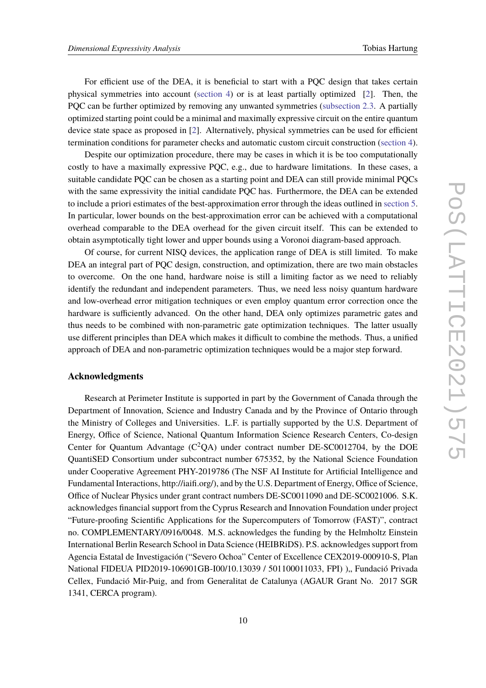For efficient use of the DEA, it is beneficial to start with a PQC design that takes certain physical symmetries into account [\(section 4\)](#page-6-0) or is at least partially optimized [\[2\]](#page-10-1). Then, the PQC can be further optimized by removing any unwanted symmetries [\(subsection 2.3.](#page-3-0) A partially optimized starting point could be a minimal and maximally expressive circuit on the entire quantum device state space as proposed in [\[2\]](#page-10-1). Alternatively, physical symmetries can be used for efficient termination conditions for parameter checks and automatic custom circuit construction [\(section 4\)](#page-6-0).

Despite our optimization procedure, there may be cases in which it is be too computationally costly to have a maximally expressive PQC, e.g., due to hardware limitations. In these cases, a suitable candidate PQC can be chosen as a starting point and DEA can still provide minimal PQCs with the same expressivity the initial candidate PQC has. Furthermore, the DEA can be extended to include a priori estimates of the best-approximation error through the ideas outlined in [section 5.](#page-8-0) In particular, lower bounds on the best-approximation error can be achieved with a computational overhead comparable to the DEA overhead for the given circuit itself. This can be extended to obtain asymptotically tight lower and upper bounds using a Voronoi diagram-based approach.

Of course, for current NISQ devices, the application range of DEA is still limited. To make DEA an integral part of PQC design, construction, and optimization, there are two main obstacles to overcome. On the one hand, hardware noise is still a limiting factor as we need to reliably identify the redundant and independent parameters. Thus, we need less noisy quantum hardware and low-overhead error mitigation techniques or even employ quantum error correction once the hardware is sufficiently advanced. On the other hand, DEA only optimizes parametric gates and thus needs to be combined with non-parametric gate optimization techniques. The latter usually use different principles than DEA which makes it difficult to combine the methods. Thus, a unified approach of DEA and non-parametric optimization techniques would be a major step forward.

### **Acknowledgments**

Research at Perimeter Institute is supported in part by the Government of Canada through the Department of Innovation, Science and Industry Canada and by the Province of Ontario through the Ministry of Colleges and Universities. L.F. is partially supported by the U.S. Department of Energy, Office of Science, National Quantum Information Science Research Centers, Co-design Center for Quantum Advantage ( $C^2OA$ ) under contract number DE-SC0012704, by the DOE QuantiSED Consortium under subcontract number 675352, by the National Science Foundation under Cooperative Agreement PHY-2019786 (The NSF AI Institute for Artificial Intelligence and Fundamental Interactions, http://iaifi.org/), and by the U.S. Department of Energy, Office of Science, Office of Nuclear Physics under grant contract numbers DE-SC0011090 and DE-SC0021006. S.K. acknowledges financial support from the Cyprus Research and Innovation Foundation under project "Future-proofing Scientific Applications for the Supercomputers of Tomorrow (FAST)", contract no. COMPLEMENTARY/0916/0048. M.S. acknowledges the funding by the Helmholtz Einstein International Berlin Research School in Data Science (HEIBRiDS). P.S. acknowledges support from Agencia Estatal de Investigación ("Severo Ochoa" Center of Excellence CEX2019-000910-S, Plan National FIDEUA PID2019-106901GB-I00/10.13039 / 501100011033, FPI) ), Fundació Privada Cellex, Fundació Mir-Puig, and from Generalitat de Catalunya (AGAUR Grant No. 2017 SGR 1341, CERCA program).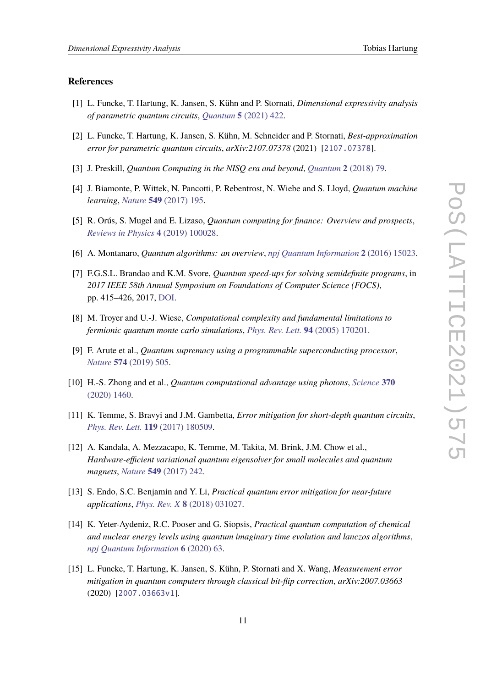# **References**

- <span id="page-10-0"></span>[1] L. Funcke, T. Hartung, K. Jansen, S. Kühn and P. Stornati, *Dimensional expressivity analysis of parametric quantum circuits*, *Quantum* **5** [\(2021\) 422.](https://doi.org/10.22331/q-2021-03-29-422)
- <span id="page-10-1"></span>[2] L. Funcke, T. Hartung, K. Jansen, S. Kühn, M. Schneider and P. Stornati, *Best-approximation error for parametric quantum circuits*, *arXiv:2107.07378* (2021) [[2107.07378](https://arxiv.org/abs/2107.07378)].
- <span id="page-10-2"></span>[3] J. Preskill, *Quantum Computing in the NISQ era and beyond*, *Quantum* **2** [\(2018\) 79.](https://doi.org/10.22331/q-2018-08-06-79)
- <span id="page-10-3"></span>[4] J. Biamonte, P. Wittek, N. Pancotti, P. Rebentrost, N. Wiebe and S. Lloyd, *Quantum machine learning*, *Nature* **549** [\(2017\) 195.](https://doi.org/10.1038/nature23474)
- <span id="page-10-4"></span>[5] R. Orús, S. Mugel and E. Lizaso, *Quantum computing for finance: Overview and prospects*, *[Reviews in Physics](https://doi.org/10.1016/j.revip.2019.100028)* **4** (2019) 100028.
- <span id="page-10-5"></span>[6] A. Montanaro, *Quantum algorithms: an overview*, *[npj Quantum Information](https://doi.org/10.1038/npjqi.2015.23)* **2** (2016) 15023.
- <span id="page-10-6"></span>[7] F.G.S.L. Brandao and K.M. Svore, *Quantum speed-ups for solving semidefinite programs*, in *2017 IEEE 58th Annual Symposium on Foundations of Computer Science (FOCS)*, pp. 415–426, 2017, [DOI.](https://doi.org/10.1109/FOCS.2017.45)
- <span id="page-10-7"></span>[8] M. Troyer and U.-J. Wiese, *Computational complexity and fundamental limitations to fermionic quantum monte carlo simulations*, *[Phys. Rev. Lett.](https://doi.org/10.1103/PhysRevLett.94.170201)* **94** (2005) 170201.
- <span id="page-10-8"></span>[9] F. Arute et al., *Quantum supremacy using a programmable superconducting processor*, *Nature* **574** [\(2019\) 505.](https://doi.org/10.1038/s41586-019-1666-5)
- <span id="page-10-9"></span>[10] H.-S. Zhong and et al., *Quantum computational advantage using photons*, *[Science](https://doi.org/10.1126/science.abe8770)* **370** [\(2020\) 1460.](https://doi.org/10.1126/science.abe8770)
- <span id="page-10-10"></span>[11] K. Temme, S. Bravyi and J.M. Gambetta, *Error mitigation for short-depth quantum circuits*, *[Phys. Rev. Lett.](https://doi.org/10.1103/PhysRevLett.119.180509)* **119** (2017) 180509.
- <span id="page-10-12"></span>[12] A. Kandala, A. Mezzacapo, K. Temme, M. Takita, M. Brink, J.M. Chow et al., *Hardware-efficient variational quantum eigensolver for small molecules and quantum magnets*, *Nature* **549** [\(2017\) 242.](https://doi.org/10.1038/nature23879)
- [13] S. Endo, S.C. Benjamin and Y. Li, *Practical quantum error mitigation for near-future applications*, *Phys. Rev. X* **8** [\(2018\) 031027.](https://doi.org/10.1103/PhysRevX.8.031027)
- [14] K. Yeter-Aydeniz, R.C. Pooser and G. Siopsis, *Practical quantum computation of chemical and nuclear energy levels using quantum imaginary time evolution and lanczos algorithms*, *[npj Quantum Information](https://doi.org/10.1038/s41534-020-00290-1)* **6** (2020) 63.
- <span id="page-10-11"></span>[15] L. Funcke, T. Hartung, K. Jansen, S. Kühn, P. Stornati and X. Wang, *Measurement error mitigation in quantum computers through classical bit-flip correction*, *arXiv:2007.03663* (2020) [[2007.03663v1](https://arxiv.org/abs/2007.03663v1)].